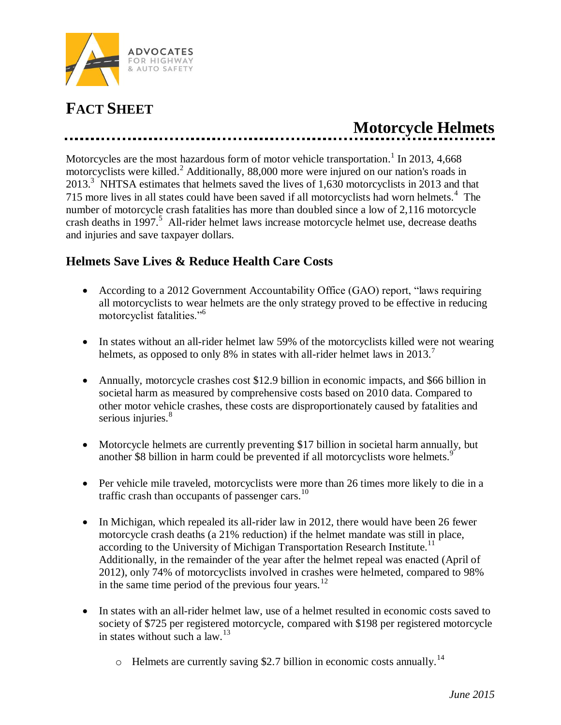

## **FACT SHEET**

## **Motorcycle Helmets**

Motorcycles are the most hazardous form of motor vehicle transportation.<sup>1</sup> In 2013, 4,668 motorcyclists were killed.<sup>2</sup> Additionally, 88,000 more were injured on our nation's roads in 2013.<sup>3</sup> NHTSA estimates that helmets saved the lives of 1,630 motorcyclists in 2013 and that 715 more lives in all states could have been saved if all motorcyclists had worn helmets.<sup>4</sup> The number of motorcycle crash fatalities has more than doubled since a low of 2,116 motorcycle crash deaths in 1997.<sup>5</sup> All-rider helmet laws increase motorcycle helmet use, decrease deaths and injuries and save taxpayer dollars.

## **Helmets Save Lives & Reduce Health Care Costs**

- According to a 2012 Government Accountability Office (GAO) report, "laws requiring all motorcyclists to wear helmets are the only strategy proved to be effective in reducing motorcyclist fatalities."<sup>6</sup>
- In states without an all-rider helmet law 59% of the motorcyclists killed were not wearing helmets, as opposed to only 8% in states with all-rider helmet laws in 2013.<sup>7</sup>
- Annually, motorcycle crashes cost \$12.9 billion in economic impacts, and \$66 billion in societal harm as measured by comprehensive costs based on 2010 data. Compared to other motor vehicle crashes, these costs are disproportionately caused by fatalities and serious injuries.<sup>8</sup>
- Motorcycle helmets are currently preventing \$17 billion in societal harm annually, but another \$8 billion in harm could be prevented if all motorcyclists wore helmets.<sup>9</sup>
- Per vehicle mile traveled, motorcyclists were more than 26 times more likely to die in a traffic crash than occupants of passenger cars. $^{10}$
- In Michigan, which repealed its all-rider law in 2012, there would have been 26 fewer motorcycle crash deaths (a 21% reduction) if the helmet mandate was still in place, according to the University of Michigan Transportation Research Institute.<sup>11</sup> Additionally, in the remainder of the year after the helmet repeal was enacted (April of 2012), only 74% of motorcyclists involved in crashes were helmeted, compared to 98% in the same time period of the previous four years.<sup>12</sup>
- In states with an all-rider helmet law, use of a helmet resulted in economic costs saved to society of \$725 per registered motorcycle, compared with \$198 per registered motorcycle in states without such a law.<sup>13</sup>
	- $\circ$  Helmets are currently saving \$2.7 billion in economic costs annually.<sup>14</sup>